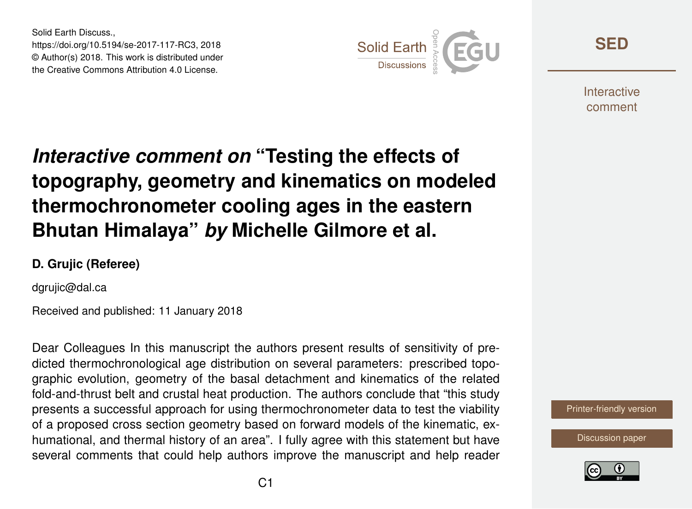Solid Earth Discuss., https://doi.org/10.5194/se-2017-117-RC3, 2018 © Author(s) 2018. This work is distributed under the Creative Commons Attribution 4.0 License.



**[SED](https://www.solid-earth-discuss.net/)**

**Interactive** comment

# *Interactive comment on* **"Testing the effects of topography, geometry and kinematics on modeled thermochronometer cooling ages in the eastern Bhutan Himalaya"** *by* **Michelle Gilmore et al.**

#### **D. Grujic (Referee)**

dgrujic@dal.ca

Received and published: 11 January 2018

Dear Colleagues In this manuscript the authors present results of sensitivity of predicted thermochronological age distribution on several parameters: prescribed topographic evolution, geometry of the basal detachment and kinematics of the related fold-and-thrust belt and crustal heat production. The authors conclude that "this study presents a successful approach for using thermochronometer data to test the viability of a proposed cross section geometry based on forward models of the kinematic, exhumational, and thermal history of an area". I fully agree with this statement but have several comments that could help authors improve the manuscript and help reader

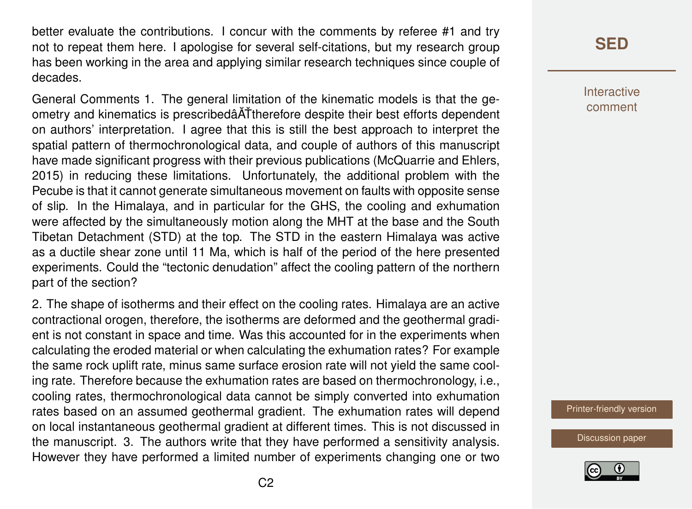better evaluate the contributions. I concur with the comments by referee #1 and try not to repeat them here. I apologise for several self-citations, but my research group has been working in the area and applying similar research techniques since couple of decades.

General Comments 1. The general limitation of the kinematic models is that the geometry and kinematics is prescribedâ ATtherefore despite their best efforts dependent on authors' interpretation. I agree that this is still the best approach to interpret the spatial pattern of thermochronological data, and couple of authors of this manuscript have made significant progress with their previous publications (McQuarrie and Ehlers, 2015) in reducing these limitations. Unfortunately, the additional problem with the Pecube is that it cannot generate simultaneous movement on faults with opposite sense of slip. In the Himalaya, and in particular for the GHS, the cooling and exhumation were affected by the simultaneously motion along the MHT at the base and the South Tibetan Detachment (STD) at the top. The STD in the eastern Himalaya was active as a ductile shear zone until 11 Ma, which is half of the period of the here presented experiments. Could the "tectonic denudation" affect the cooling pattern of the northern part of the section?

2. The shape of isotherms and their effect on the cooling rates. Himalaya are an active contractional orogen, therefore, the isotherms are deformed and the geothermal gradient is not constant in space and time. Was this accounted for in the experiments when calculating the eroded material or when calculating the exhumation rates? For example the same rock uplift rate, minus same surface erosion rate will not yield the same cooling rate. Therefore because the exhumation rates are based on thermochronology, i.e., cooling rates, thermochronological data cannot be simply converted into exhumation rates based on an assumed geothermal gradient. The exhumation rates will depend on local instantaneous geothermal gradient at different times. This is not discussed in the manuscript. 3. The authors write that they have performed a sensitivity analysis. However they have performed a limited number of experiments changing one or two

## **[SED](https://www.solid-earth-discuss.net/)**

**Interactive** comment

[Printer-friendly version](https://www.solid-earth-discuss.net/se-2017-117/se-2017-117-RC3-print.pdf)

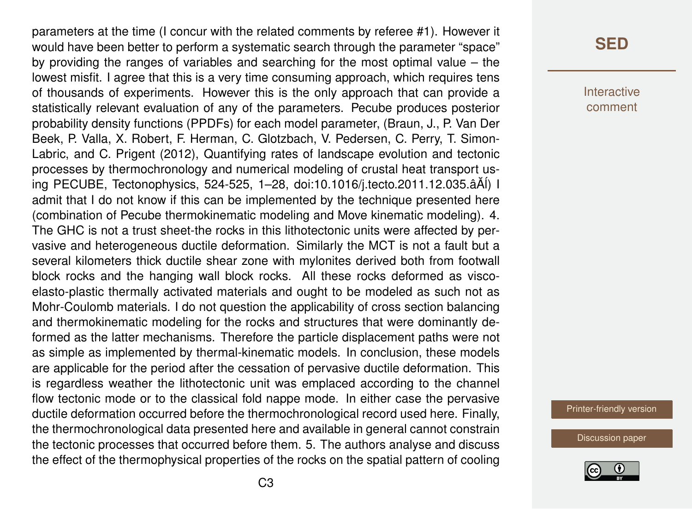parameters at the time (I concur with the related comments by referee #1). However it would have been better to perform a systematic search through the parameter "space" by providing the ranges of variables and searching for the most optimal value – the lowest misfit. I agree that this is a very time consuming approach, which requires tens of thousands of experiments. However this is the only approach that can provide a statistically relevant evaluation of any of the parameters. Pecube produces posterior probability density functions (PPDFs) for each model parameter, (Braun, J., P. Van Der Beek, P. Valla, X. Robert, F. Herman, C. Glotzbach, V. Pedersen, C. Perry, T. Simon-Labric, and C. Prigent (2012), Quantifying rates of landscape evolution and tectonic processes by thermochronology and numerical modeling of crustal heat transport using PECUBE, Tectonophysics, 524-525, 1–28, doi:10.1016/j.tecto.2011.12.035.âA˘´l) I admit that I do not know if this can be implemented by the technique presented here (combination of Pecube thermokinematic modeling and Move kinematic modeling). 4. The GHC is not a trust sheet-the rocks in this lithotectonic units were affected by pervasive and heterogeneous ductile deformation. Similarly the MCT is not a fault but a several kilometers thick ductile shear zone with mylonites derived both from footwall block rocks and the hanging wall block rocks. All these rocks deformed as viscoelasto-plastic thermally activated materials and ought to be modeled as such not as Mohr-Coulomb materials. I do not question the applicability of cross section balancing and thermokinematic modeling for the rocks and structures that were dominantly deformed as the latter mechanisms. Therefore the particle displacement paths were not as simple as implemented by thermal-kinematic models. In conclusion, these models are applicable for the period after the cessation of pervasive ductile deformation. This is regardless weather the lithotectonic unit was emplaced according to the channel flow tectonic mode or to the classical fold nappe mode. In either case the pervasive ductile deformation occurred before the thermochronological record used here. Finally, the thermochronological data presented here and available in general cannot constrain the tectonic processes that occurred before them. 5. The authors analyse and discuss the effect of the thermophysical properties of the rocks on the spatial pattern of cooling

#### **[SED](https://www.solid-earth-discuss.net/)**

Interactive comment

[Printer-friendly version](https://www.solid-earth-discuss.net/se-2017-117/se-2017-117-RC3-print.pdf)

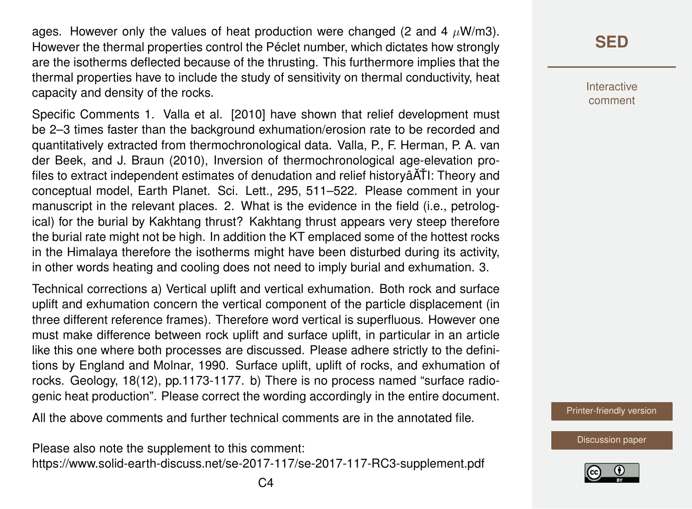ages. However only the values of heat production were changed (2 and 4  $\mu$ W/m3). However the thermal properties control the Péclet number, which dictates how strongly are the isotherms deflected because of the thrusting. This furthermore implies that the thermal properties have to include the study of sensitivity on thermal conductivity, heat capacity and density of the rocks.

Specific Comments 1. Valla et al. [2010] have shown that relief development must be 2–3 times faster than the background exhumation/erosion rate to be recorded and quantitatively extracted from thermochronological data. Valla, P., F. Herman, P. A. van der Beek, and J. Braun (2010), Inversion of thermochronological age-elevation profiles to extract independent estimates of denudation and relief historyâ $\tilde{A}$ TI: Theory and conceptual model, Earth Planet. Sci. Lett., 295, 511–522. Please comment in your manuscript in the relevant places. 2. What is the evidence in the field (i.e., petrological) for the burial by Kakhtang thrust? Kakhtang thrust appears very steep therefore the burial rate might not be high. In addition the KT emplaced some of the hottest rocks in the Himalaya therefore the isotherms might have been disturbed during its activity, in other words heating and cooling does not need to imply burial and exhumation. 3.

Technical corrections a) Vertical uplift and vertical exhumation. Both rock and surface uplift and exhumation concern the vertical component of the particle displacement (in three different reference frames). Therefore word vertical is superfluous. However one must make difference between rock uplift and surface uplift, in particular in an article like this one where both processes are discussed. Please adhere strictly to the definitions by England and Molnar, 1990. Surface uplift, uplift of rocks, and exhumation of rocks. Geology, 18(12), pp.1173-1177. b) There is no process named "surface radiogenic heat production". Please correct the wording accordingly in the entire document.

All the above comments and further technical comments are in the annotated file.

Please also note the supplement to this comment: <https://www.solid-earth-discuss.net/se-2017-117/se-2017-117-RC3-supplement.pdf>

### **[SED](https://www.solid-earth-discuss.net/)**

Interactive comment

[Printer-friendly version](https://www.solid-earth-discuss.net/se-2017-117/se-2017-117-RC3-print.pdf)